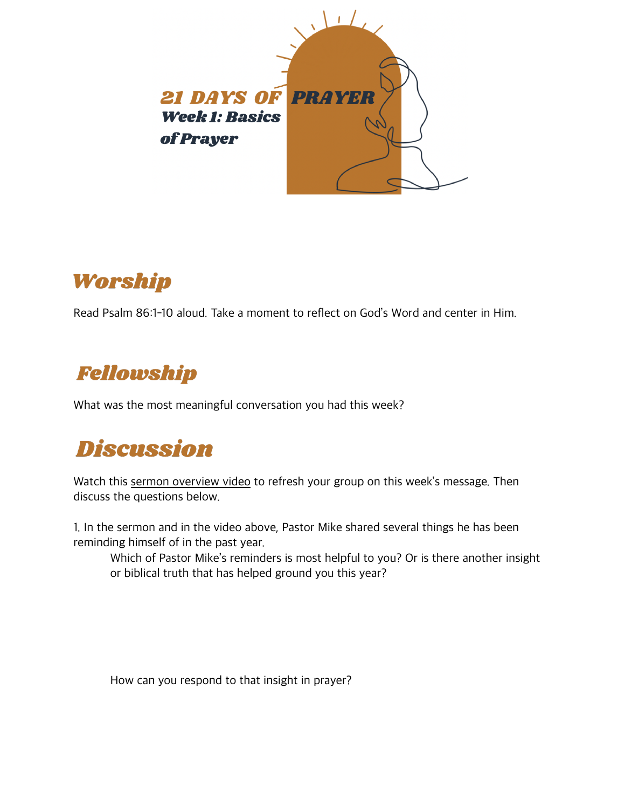

## Worship

Read Psalm 86:1-10 aloud. Take a moment to reflect on God's Word and center in Him.

## Fellowship

What was the most meaningful conversation you had this week?

## **Discussion**

Watch this [sermon overview video](https://christchurchil.org/wp-content/uploads/2021/05/IMG_0736.mov) to refresh your group on this week's message. Then discuss the questions below.

1. In the sermon and in the video above, Pastor Mike shared several things he has been reminding himself of in the past year.

 Which of Pastor Mike's reminders is most helpful to you? Or is there another insight or biblical truth that has helped ground you this year?

How can you respond to that insight in prayer?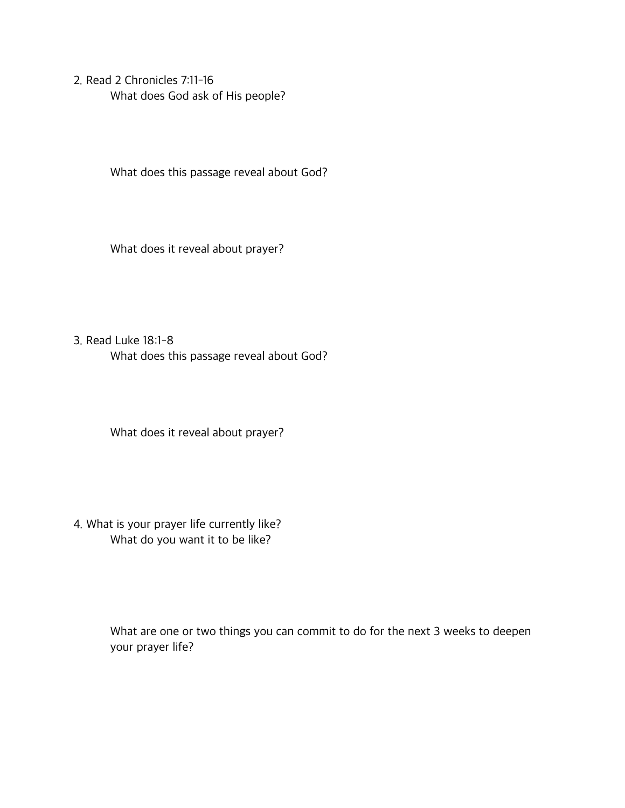2. Read 2 Chronicles 7:11-16 What does God ask of His people?

What does this passage reveal about God?

What does it reveal about prayer?

3. Read Luke 18:1-8 What does this passage reveal about God?

What does it reveal about prayer?

4. What is your prayer life currently like? What do you want it to be like?

> What are one or two things you can commit to do for the next 3 weeks to deepen your prayer life?